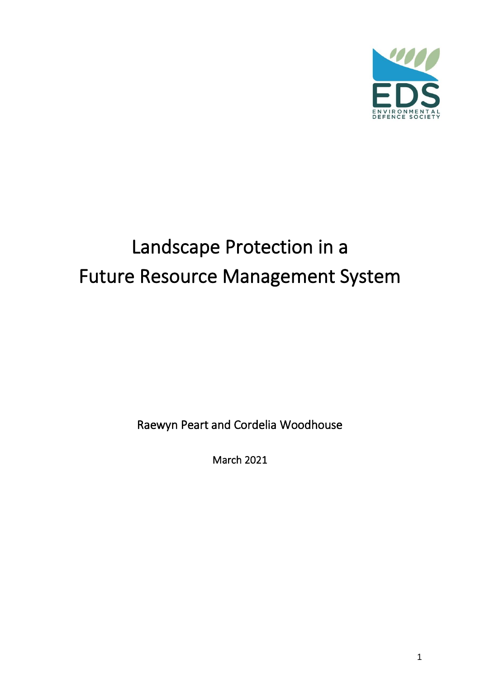

# Landscape Protection in a Future Resource Management System

Raewyn Peart and Cordelia Woodhouse

March 2021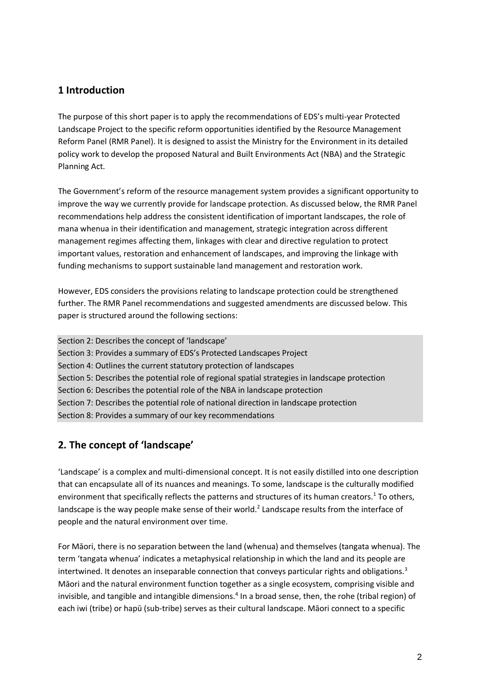## **1 Introduction**

The purpose of this short paper is to apply the recommendations of EDS's multi-year Protected Landscape Project to the specific reform opportunities identified by the Resource Management Reform Panel (RMR Panel). It is designed to assist the Ministry for the Environment in its detailed policy work to develop the proposed Natural and Built Environments Act (NBA) and the Strategic Planning Act.

The Government's reform of the resource management system provides a significant opportunity to improve the way we currently provide for landscape protection. As discussed below, the RMR Panel recommendations help address the consistent identification of important landscapes, the role of mana whenua in their identification and management, strategic integration across different management regimes affecting them, linkages with clear and directive regulation to protect important values, restoration and enhancement of landscapes, and improving the linkage with funding mechanisms to support sustainable land management and restoration work.

However, EDS considers the provisions relating to landscape protection could be strengthened further. The RMR Panel recommendations and suggested amendments are discussed below. This paper is structured around the following sections:

Section 2: Describes the concept of 'landscape' Section 3: Provides a summary of EDS's Protected Landscapes Project Section 4: Outlines the current statutory protection of landscapes Section 5: Describes the potential role of regional spatial strategies in landscape protection Section 6: Describes the potential role of the NBA in landscape protection Section 7: Describes the potential role of national direction in landscape protection Section 8: Provides a summary of our key recommendations

## **2. The concept of 'landscape'**

'Landscape' is a complex and multi-dimensional concept. It is not easily distilled into one description that can encapsulate all of its nuances and meanings. To some, landscape is the culturally modified environment that specifically reflects the patterns and structures of its human creators.<sup>1</sup> To others, landscape is the way people make sense of their world.<sup>2</sup> Landscape results from the interface of people and the natural environment over time.

For Māori, there is no separation between the land (whenua) and themselves (tangata whenua). The term 'tangata whenua' indicates a metaphysical relationship in which the land and its people are intertwined. It denotes an inseparable connection that conveys particular rights and obligations. $3$ Māori and the natural environment function together as a single ecosystem, comprising visible and invisible, and tangible and intangible dimensions.<sup>4</sup> In a broad sense, then, the rohe (tribal region) of each iwi (tribe) or hapū (sub-tribe) serves as their cultural landscape. Māori connect to a specific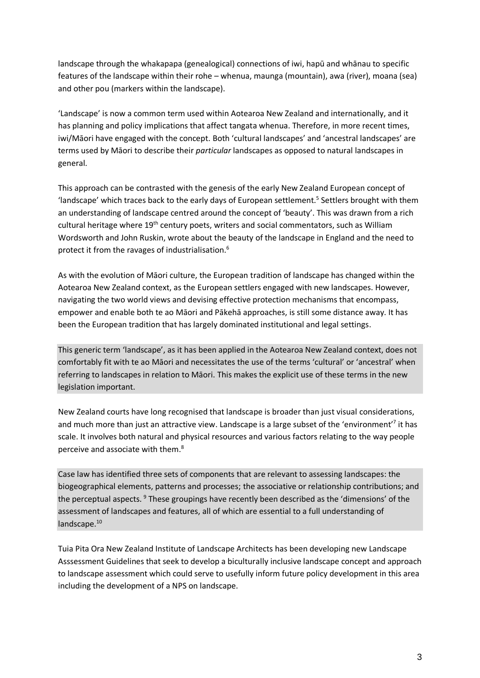landscape through the whakapapa (genealogical) connections of iwi, hapū and whānau to specific features of the landscape within their rohe – whenua, maunga (mountain), awa (river), moana (sea) and other pou (markers within the landscape).

'Landscape' is now a common term used within Aotearoa New Zealand and internationally, and it has planning and policy implications that affect tangata whenua. Therefore, in more recent times, iwi/Māori have engaged with the concept. Both 'cultural landscapes' and 'ancestral landscapes' are terms used by Māori to describe their *particular* landscapes as opposed to natural landscapes in general.

This approach can be contrasted with the genesis of the early New Zealand European concept of 'landscape' which traces back to the early days of European settlement.<sup>5</sup> Settlers brought with them an understanding of landscape centred around the concept of 'beauty'. This was drawn from a rich cultural heritage where 19<sup>th</sup> century poets, writers and social commentators, such as William Wordsworth and John Ruskin, wrote about the beauty of the landscape in England and the need to protect it from the ravages of industrialisation.<sup>6</sup>

As with the evolution of Māori culture, the European tradition of landscape has changed within the Aotearoa New Zealand context, as the European settlers engaged with new landscapes. However, navigating the two world views and devising effective protection mechanisms that encompass, empower and enable both te ao Māori and Pākehā approaches, is still some distance away. It has been the European tradition that has largely dominated institutional and legal settings.

This generic term 'landscape', as it has been applied in the Aotearoa New Zealand context, does not comfortably fit with te ao Māori and necessitates the use of the terms 'cultural' or 'ancestral' when referring to landscapes in relation to Māori. This makes the explicit use of these terms in the new legislation important.

New Zealand courts have long recognised that landscape is broader than just visual considerations, and much more than just an attractive view. Landscape is a large subset of the 'environment'<sup>7</sup> it has scale. It involves both natural and physical resources and various factors relating to the way people perceive and associate with them.<sup>8</sup>

Case law has identified three sets of components that are relevant to assessing landscapes: the biogeographical elements, patterns and processes; the associative or relationship contributions; and the perceptual aspects.<sup>9</sup> These groupings have recently been described as the 'dimensions' of the assessment of landscapes and features, all of which are essential to a full understanding of landscape.<sup>10</sup>

Tuia Pita Ora New Zealand Institute of Landscape Architects has been developing new Landscape Asssessment Guidelines that seek to develop a biculturally inclusive landscape concept and approach to landscape assessment which could serve to usefully inform future policy development in this area including the development of a NPS on landscape.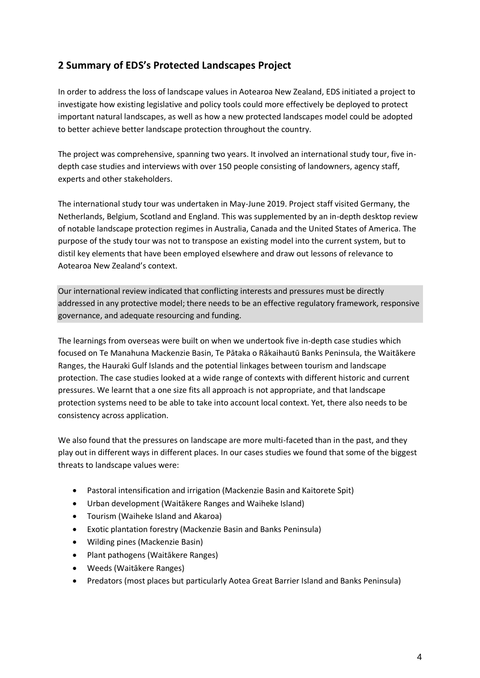# **2 Summary of EDS's Protected Landscapes Project**

In order to address the loss of landscape values in Aotearoa New Zealand, EDS initiated a project to investigate how existing legislative and policy tools could more effectively be deployed to protect important natural landscapes, as well as how a new protected landscapes model could be adopted to better achieve better landscape protection throughout the country.

The project was comprehensive, spanning two years. It involved an international study tour, five indepth case studies and interviews with over 150 people consisting of landowners, agency staff, experts and other stakeholders.

The international study tour was undertaken in May-June 2019. Project staff visited Germany, the Netherlands, Belgium, Scotland and England. This was supplemented by an in-depth desktop review of notable landscape protection regimes in Australia, Canada and the United States of America. The purpose of the study tour was not to transpose an existing model into the current system, but to distil key elements that have been employed elsewhere and draw out lessons of relevance to Aotearoa New Zealand's context.

Our international review indicated that conflicting interests and pressures must be directly addressed in any protective model; there needs to be an effective regulatory framework, responsive governance, and adequate resourcing and funding.

The learnings from overseas were built on when we undertook five in-depth case studies which focused on Te Manahuna Mackenzie Basin, Te Pātaka o Rākaihautū Banks Peninsula, the Waitākere Ranges, the Hauraki Gulf Islands and the potential linkages between tourism and landscape protection. The case studies looked at a wide range of contexts with different historic and current pressures. We learnt that a one size fits all approach is not appropriate, and that landscape protection systems need to be able to take into account local context. Yet, there also needs to be consistency across application.

We also found that the pressures on landscape are more multi-faceted than in the past, and they play out in different ways in different places. In our cases studies we found that some of the biggest threats to landscape values were:

- Pastoral intensification and irrigation (Mackenzie Basin and Kaitorete Spit)
- Urban development (Waitākere Ranges and Waiheke Island)
- Tourism (Waiheke Island and Akaroa)
- Exotic plantation forestry (Mackenzie Basin and Banks Peninsula)
- Wilding pines (Mackenzie Basin)
- Plant pathogens (Waitākere Ranges)
- Weeds (Waitākere Ranges)
- Predators (most places but particularly Aotea Great Barrier Island and Banks Peninsula)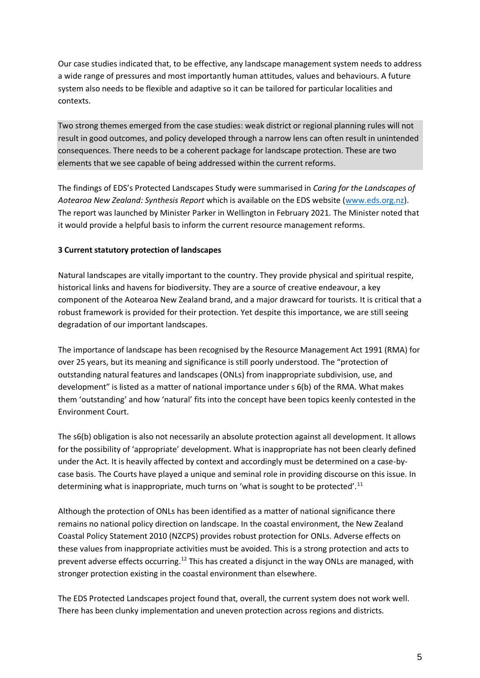Our case studies indicated that, to be effective, any landscape management system needs to address a wide range of pressures and most importantly human attitudes, values and behaviours. A future system also needs to be flexible and adaptive so it can be tailored for particular localities and contexts.

Two strong themes emerged from the case studies: weak district or regional planning rules will not result in good outcomes, and policy developed through a narrow lens can often result in unintended consequences. There needs to be a coherent package for landscape protection. These are two elements that we see capable of being addressed within the current reforms.

The findings of EDS's Protected Landscapes Study were summarised in *Caring for the Landscapes of Aotearoa New Zealand: Synthesis Report* which is available on the EDS website [\(www.eds.org.nz\)](http://www.eds.org.nz/). The report was launched by Minister Parker in Wellington in February 2021. The Minister noted that it would provide a helpful basis to inform the current resource management reforms.

#### **3 Current statutory protection of landscapes**

Natural landscapes are vitally important to the country. They provide physical and spiritual respite, historical links and havens for biodiversity. They are a source of creative endeavour, a key component of the Aotearoa New Zealand brand, and a major drawcard for tourists. It is critical that a robust framework is provided for their protection. Yet despite this importance, we are still seeing degradation of our important landscapes.

The importance of landscape has been recognised by the Resource Management Act 1991 (RMA) for over 25 years, but its meaning and significance is still poorly understood. The "protection of outstanding natural features and landscapes (ONLs) from inappropriate subdivision, use, and development" is listed as a matter of national importance under s 6(b) of the RMA. What makes them 'outstanding' and how 'natural' fits into the concept have been topics keenly contested in the Environment Court.

The s6(b) obligation is also not necessarily an absolute protection against all development. It allows for the possibility of 'appropriate' development. What is inappropriate has not been clearly defined under the Act. It is heavily affected by context and accordingly must be determined on a case-bycase basis. The Courts have played a unique and seminal role in providing discourse on this issue. In determining what is inappropriate, much turns on 'what is sought to be protected'.<sup>11</sup>

Although the protection of ONLs has been identified as a matter of national significance there remains no national policy direction on landscape. In the coastal environment, the New Zealand Coastal Policy Statement 2010 (NZCPS) provides robust protection for ONLs. Adverse effects on these values from inappropriate activities must be avoided. This is a strong protection and acts to prevent adverse effects occurring.<sup>12</sup> This has created a disjunct in the way ONLs are managed, with stronger protection existing in the coastal environment than elsewhere.

The EDS Protected Landscapes project found that, overall, the current system does not work well. There has been clunky implementation and uneven protection across regions and districts.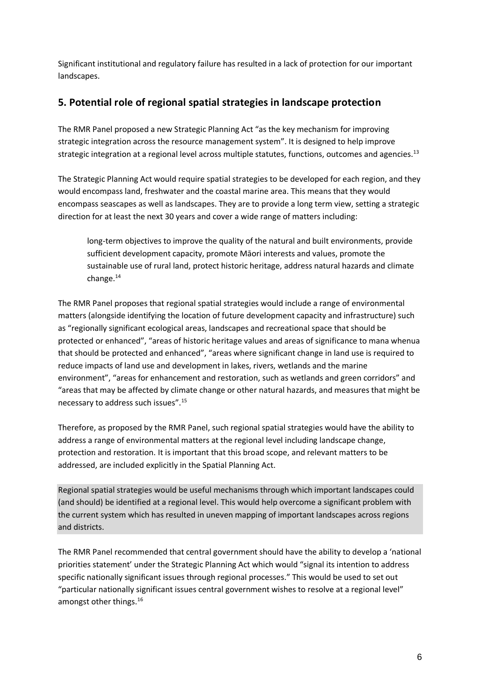Significant institutional and regulatory failure has resulted in a lack of protection for our important landscapes.

## **5. Potential role of regional spatial strategies in landscape protection**

The RMR Panel proposed a new Strategic Planning Act "as the key mechanism for improving strategic integration across the resource management system". It is designed to help improve strategic integration at a regional level across multiple statutes, functions, outcomes and agencies.<sup>13</sup>

The Strategic Planning Act would require spatial strategies to be developed for each region, and they would encompass land, freshwater and the coastal marine area. This means that they would encompass seascapes as well as landscapes. They are to provide a long term view, setting a strategic direction for at least the next 30 years and cover a wide range of matters including:

long-term objectives to improve the quality of the natural and built environments, provide sufficient development capacity, promote Māori interests and values, promote the sustainable use of rural land, protect historic heritage, address natural hazards and climate change.<sup>14</sup>

The RMR Panel proposes that regional spatial strategies would include a range of environmental matters (alongside identifying the location of future development capacity and infrastructure) such as "regionally significant ecological areas, landscapes and recreational space that should be protected or enhanced", "areas of historic heritage values and areas of significance to mana whenua that should be protected and enhanced", "areas where significant change in land use is required to reduce impacts of land use and development in lakes, rivers, wetlands and the marine environment", "areas for enhancement and restoration, such as wetlands and green corridors" and "areas that may be affected by climate change or other natural hazards, and measures that might be necessary to address such issues".<sup>15</sup>

Therefore, as proposed by the RMR Panel, such regional spatial strategies would have the ability to address a range of environmental matters at the regional level including landscape change, protection and restoration. It is important that this broad scope, and relevant matters to be addressed, are included explicitly in the Spatial Planning Act.

Regional spatial strategies would be useful mechanisms through which important landscapes could (and should) be identified at a regional level. This would help overcome a significant problem with the current system which has resulted in uneven mapping of important landscapes across regions and districts.

The RMR Panel recommended that central government should have the ability to develop a 'national priorities statement' under the Strategic Planning Act which would "signal its intention to address specific nationally significant issues through regional processes." This would be used to set out "particular nationally significant issues central government wishes to resolve at a regional level" amongst other things.<sup>16</sup>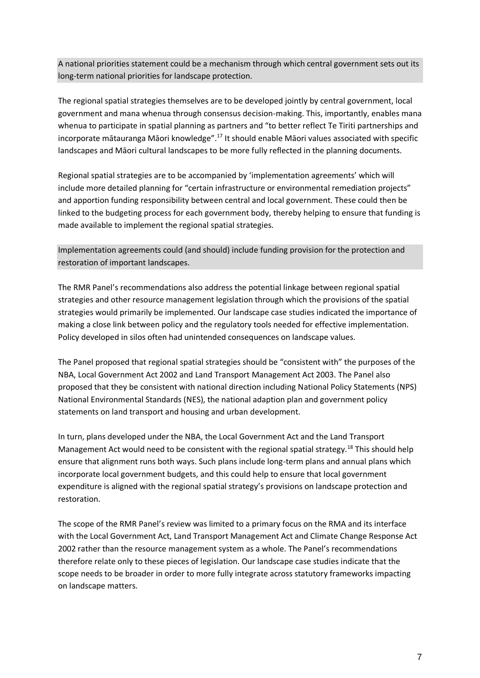A national priorities statement could be a mechanism through which central government sets out its long-term national priorities for landscape protection.

The regional spatial strategies themselves are to be developed jointly by central government, local government and mana whenua through consensus decision-making. This, importantly, enables mana whenua to participate in spatial planning as partners and "to better reflect Te Tiriti partnerships and incorporate mātauranga Māori knowledge".<sup>17</sup> It should enable Māori values associated with specific landscapes and Māori cultural landscapes to be more fully reflected in the planning documents.

Regional spatial strategies are to be accompanied by 'implementation agreements' which will include more detailed planning for "certain infrastructure or environmental remediation projects" and apportion funding responsibility between central and local government. These could then be linked to the budgeting process for each government body, thereby helping to ensure that funding is made available to implement the regional spatial strategies.

Implementation agreements could (and should) include funding provision for the protection and restoration of important landscapes.

The RMR Panel's recommendations also address the potential linkage between regional spatial strategies and other resource management legislation through which the provisions of the spatial strategies would primarily be implemented. Our landscape case studies indicated the importance of making a close link between policy and the regulatory tools needed for effective implementation. Policy developed in silos often had unintended consequences on landscape values.

The Panel proposed that regional spatial strategies should be "consistent with" the purposes of the NBA, Local Government Act 2002 and Land Transport Management Act 2003. The Panel also proposed that they be consistent with national direction including National Policy Statements (NPS) National Environmental Standards (NES), the national adaption plan and government policy statements on land transport and housing and urban development.

In turn, plans developed under the NBA, the Local Government Act and the Land Transport Management Act would need to be consistent with the regional spatial strategy.<sup>18</sup> This should help ensure that alignment runs both ways. Such plans include long-term plans and annual plans which incorporate local government budgets, and this could help to ensure that local government expenditure is aligned with the regional spatial strategy's provisions on landscape protection and restoration.

The scope of the RMR Panel's review was limited to a primary focus on the RMA and its interface with the Local Government Act, Land Transport Management Act and Climate Change Response Act 2002 rather than the resource management system as a whole. The Panel's recommendations therefore relate only to these pieces of legislation. Our landscape case studies indicate that the scope needs to be broader in order to more fully integrate across statutory frameworks impacting on landscape matters.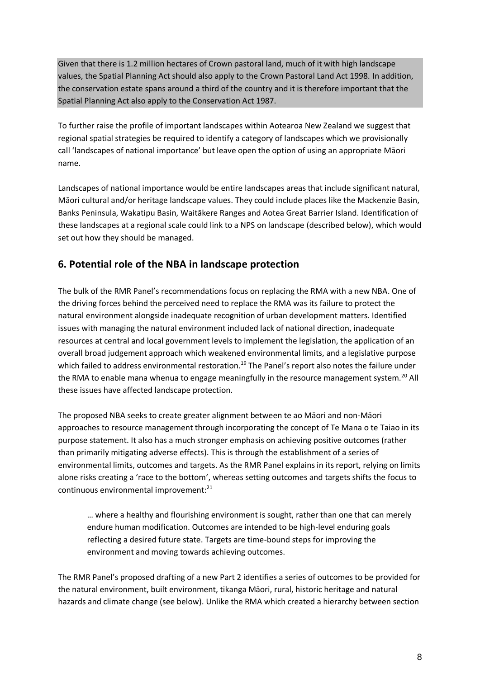Given that there is 1.2 million hectares of Crown pastoral land, much of it with high landscape values, the Spatial Planning Act should also apply to the Crown Pastoral Land Act 1998. In addition, the conservation estate spans around a third of the country and it is therefore important that the Spatial Planning Act also apply to the Conservation Act 1987.

To further raise the profile of important landscapes within Aotearoa New Zealand we suggest that regional spatial strategies be required to identify a category of landscapes which we provisionally call 'landscapes of national importance' but leave open the option of using an appropriate Māori name.

Landscapes of national importance would be entire landscapes areas that include significant natural, Māori cultural and/or heritage landscape values. They could include places like the Mackenzie Basin, Banks Peninsula, Wakatipu Basin, Waitākere Ranges and Aotea Great Barrier Island. Identification of these landscapes at a regional scale could link to a NPS on landscape (described below), which would set out how they should be managed.

# **6. Potential role of the NBA in landscape protection**

The bulk of the RMR Panel's recommendations focus on replacing the RMA with a new NBA. One of the driving forces behind the perceived need to replace the RMA was its failure to protect the natural environment alongside inadequate recognition of urban development matters. Identified issues with managing the natural environment included lack of national direction, inadequate resources at central and local government levels to implement the legislation, the application of an overall broad judgement approach which weakened environmental limits, and a legislative purpose which failed to address environmental restoration.<sup>19</sup> The Panel's report also notes the failure under the RMA to enable mana whenua to engage meaningfully in the resource management system.<sup>20</sup> All these issues have affected landscape protection.

The proposed NBA seeks to create greater alignment between te ao Māori and non-Māori approaches to resource management through incorporating the concept of Te Mana o te Taiao in its purpose statement. It also has a much stronger emphasis on achieving positive outcomes (rather than primarily mitigating adverse effects). This is through the establishment of a series of environmental limits, outcomes and targets. As the RMR Panel explains in its report, relying on limits alone risks creating a 'race to the bottom', whereas setting outcomes and targets shifts the focus to continuous environmental improvement:<sup>21</sup>

… where a healthy and flourishing environment is sought, rather than one that can merely endure human modification. Outcomes are intended to be high-level enduring goals reflecting a desired future state. Targets are time-bound steps for improving the environment and moving towards achieving outcomes.

The RMR Panel's proposed drafting of a new Part 2 identifies a series of outcomes to be provided for the natural environment, built environment, tikanga Māori, rural, historic heritage and natural hazards and climate change (see below). Unlike the RMA which created a hierarchy between section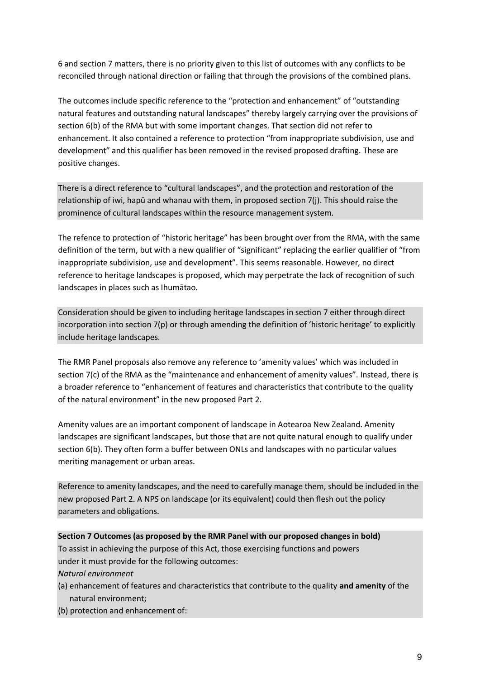6 and section 7 matters, there is no priority given to this list of outcomes with any conflicts to be reconciled through national direction or failing that through the provisions of the combined plans.

The outcomes include specific reference to the "protection and enhancement" of "outstanding natural features and outstanding natural landscapes" thereby largely carrying over the provisions of section 6(b) of the RMA but with some important changes. That section did not refer to enhancement. It also contained a reference to protection "from inappropriate subdivision, use and development" and this qualifier has been removed in the revised proposed drafting. These are positive changes.

There is a direct reference to "cultural landscapes", and the protection and restoration of the relationship of iwi, hapū and whanau with them, in proposed section 7(j). This should raise the prominence of cultural landscapes within the resource management system.

The refence to protection of "historic heritage" has been brought over from the RMA, with the same definition of the term, but with a new qualifier of "significant" replacing the earlier qualifier of "from inappropriate subdivision, use and development". This seems reasonable. However, no direct reference to heritage landscapes is proposed, which may perpetrate the lack of recognition of such landscapes in places such as Ihumātao.

Consideration should be given to including heritage landscapes in section 7 either through direct incorporation into section 7(p) or through amending the definition of 'historic heritage' to explicitly include heritage landscapes.

The RMR Panel proposals also remove any reference to 'amenity values' which was included in section 7(c) of the RMA as the "maintenance and enhancement of amenity values". Instead, there is a broader reference to "enhancement of features and characteristics that contribute to the quality of the natural environment" in the new proposed Part 2.

Amenity values are an important component of landscape in Aotearoa New Zealand. Amenity landscapes are significant landscapes, but those that are not quite natural enough to qualify under section 6(b). They often form a buffer between ONLs and landscapes with no particular values meriting management or urban areas.

Reference to amenity landscapes, and the need to carefully manage them, should be included in the new proposed Part 2. A NPS on landscape (or its equivalent) could then flesh out the policy parameters and obligations.

**Section 7 Outcomes (as proposed by the RMR Panel with our proposed changes in bold)**

To assist in achieving the purpose of this Act, those exercising functions and powers under it must provide for the following outcomes:

*Natural environment*

- (a) enhancement of features and characteristics that contribute to the quality **and amenity** of the natural environment;
- (b) protection and enhancement of: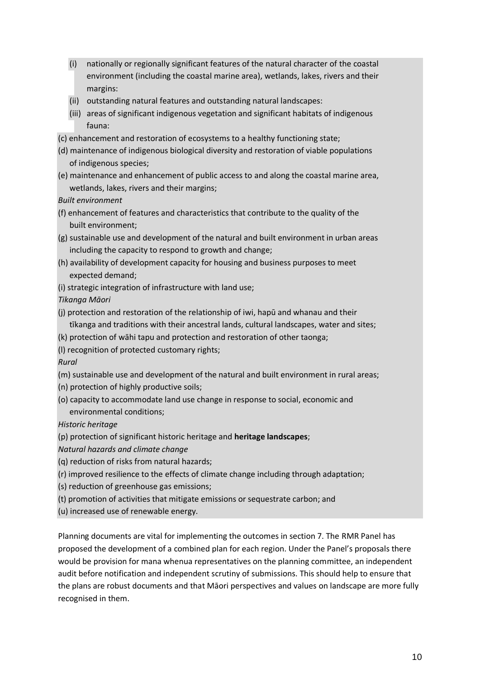- (i) nationally or regionally significant features of the natural character of the coastal environment (including the coastal marine area), wetlands, lakes, rivers and their margins:
- (ii) outstanding natural features and outstanding natural landscapes:
- (iii) areas of significant indigenous vegetation and significant habitats of indigenous fauna:
- (c) enhancement and restoration of ecosystems to a healthy functioning state;
- (d) maintenance of indigenous biological diversity and restoration of viable populations of indigenous species;
- (e) maintenance and enhancement of public access to and along the coastal marine area, wetlands, lakes, rivers and their margins;

*Built environment*

- (f) enhancement of features and characteristics that contribute to the quality of the built environment;
- (g) sustainable use and development of the natural and built environment in urban areas including the capacity to respond to growth and change;
- (h) availability of development capacity for housing and business purposes to meet expected demand;
- (i) strategic integration of infrastructure with land use;

*Tikanga Māori*

- (j) protection and restoration of the relationship of iwi, hapū and whanau and their tīkanga and traditions with their ancestral lands, cultural landscapes, water and sites;
- (k) protection of wāhi tapu and protection and restoration of other taonga;
- (l) recognition of protected customary rights;

*Rural*

- (m) sustainable use and development of the natural and built environment in rural areas;
- (n) protection of highly productive soils;
- (o) capacity to accommodate land use change in response to social, economic and environmental conditions;

*Historic heritage*

- (p) protection of significant historic heritage and **heritage landscapes**;
- *Natural hazards and climate change*
- (q) reduction of risks from natural hazards;
- (r) improved resilience to the effects of climate change including through adaptation;
- (s) reduction of greenhouse gas emissions;
- (t) promotion of activities that mitigate emissions or sequestrate carbon; and
- (u) increased use of renewable energy.

Planning documents are vital for implementing the outcomes in section 7. The RMR Panel has proposed the development of a combined plan for each region. Under the Panel's proposals there would be provision for mana whenua representatives on the planning committee, an independent audit before notification and independent scrutiny of submissions. This should help to ensure that the plans are robust documents and that Māori perspectives and values on landscape are more fully recognised in them.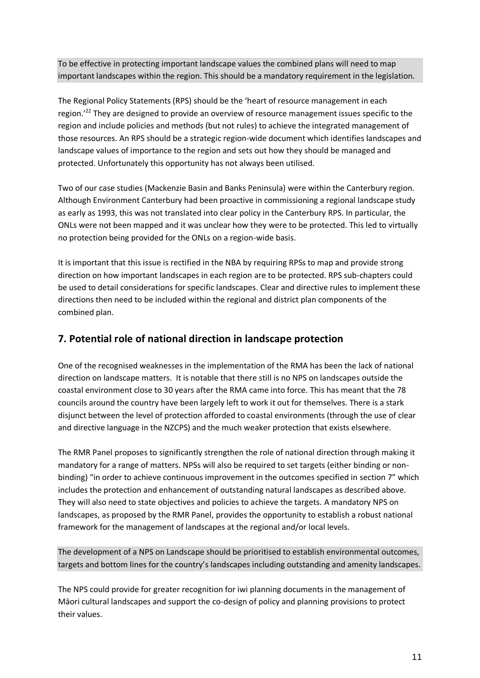To be effective in protecting important landscape values the combined plans will need to map important landscapes within the region. This should be a mandatory requirement in the legislation.

The Regional Policy Statements (RPS) should be the 'heart of resource management in each region.<sup>'22</sup> They are designed to provide an overview of resource management issues specific to the region and include policies and methods (but not rules) to achieve the integrated management of those resources. An RPS should be a strategic region-wide document which identifies landscapes and landscape values of importance to the region and sets out how they should be managed and protected. Unfortunately this opportunity has not always been utilised.

Two of our case studies (Mackenzie Basin and Banks Peninsula) were within the Canterbury region. Although Environment Canterbury had been proactive in commissioning a regional landscape study as early as 1993, this was not translated into clear policy in the Canterbury RPS. In particular, the ONLs were not been mapped and it was unclear how they were to be protected. This led to virtually no protection being provided for the ONLs on a region-wide basis.

It is important that this issue is rectified in the NBA by requiring RPSs to map and provide strong direction on how important landscapes in each region are to be protected. RPS sub-chapters could be used to detail considerations for specific landscapes. Clear and directive rules to implement these directions then need to be included within the regional and district plan components of the combined plan.

# **7. Potential role of national direction in landscape protection**

One of the recognised weaknesses in the implementation of the RMA has been the lack of national direction on landscape matters. It is notable that there still is no NPS on landscapes outside the coastal environment close to 30 years after the RMA came into force. This has meant that the 78 councils around the country have been largely left to work it out for themselves. There is a stark disjunct between the level of protection afforded to coastal environments (through the use of clear and directive language in the NZCPS) and the much weaker protection that exists elsewhere.

The RMR Panel proposes to significantly strengthen the role of national direction through making it mandatory for a range of matters. NPSs will also be required to set targets (either binding or nonbinding) "in order to achieve continuous improvement in the outcomes specified in section 7" which includes the protection and enhancement of outstanding natural landscapes as described above. They will also need to state objectives and policies to achieve the targets. A mandatory NPS on landscapes, as proposed by the RMR Panel, provides the opportunity to establish a robust national framework for the management of landscapes at the regional and/or local levels.

The development of a NPS on Landscape should be prioritised to establish environmental outcomes, targets and bottom lines for the country's landscapes including outstanding and amenity landscapes.

The NPS could provide for greater recognition for iwi planning documents in the management of Māori cultural landscapes and support the co-design of policy and planning provisions to protect their values.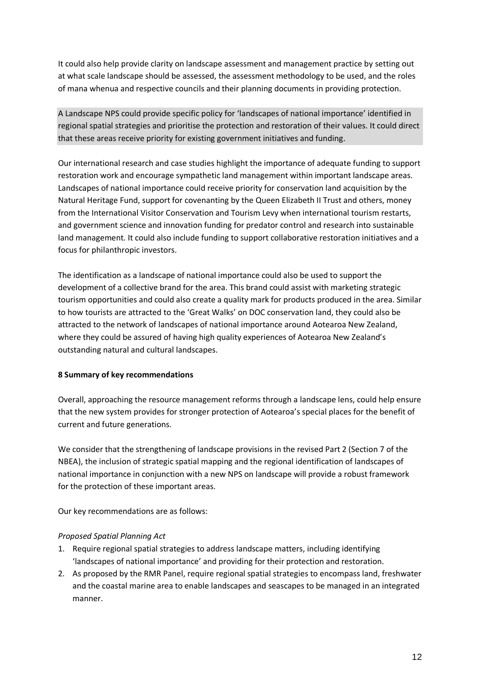It could also help provide clarity on landscape assessment and management practice by setting out at what scale landscape should be assessed, the assessment methodology to be used, and the roles of mana whenua and respective councils and their planning documents in providing protection.

A Landscape NPS could provide specific policy for 'landscapes of national importance' identified in regional spatial strategies and prioritise the protection and restoration of their values. It could direct that these areas receive priority for existing government initiatives and funding.

Our international research and case studies highlight the importance of adequate funding to support restoration work and encourage sympathetic land management within important landscape areas. Landscapes of national importance could receive priority for conservation land acquisition by the Natural Heritage Fund, support for covenanting by the Queen Elizabeth II Trust and others, money from the International Visitor Conservation and Tourism Levy when international tourism restarts, and government science and innovation funding for predator control and research into sustainable land management. It could also include funding to support collaborative restoration initiatives and a focus for philanthropic investors.

The identification as a landscape of national importance could also be used to support the development of a collective brand for the area. This brand could assist with marketing strategic tourism opportunities and could also create a quality mark for products produced in the area. Similar to how tourists are attracted to the 'Great Walks' on DOC conservation land, they could also be attracted to the network of landscapes of national importance around Aotearoa New Zealand, where they could be assured of having high quality experiences of Aotearoa New Zealand's outstanding natural and cultural landscapes.

### **8 Summary of key recommendations**

Overall, approaching the resource management reforms through a landscape lens, could help ensure that the new system provides for stronger protection of Aotearoa's special places for the benefit of current and future generations.

We consider that the strengthening of landscape provisions in the revised Part 2 (Section 7 of the NBEA), the inclusion of strategic spatial mapping and the regional identification of landscapes of national importance in conjunction with a new NPS on landscape will provide a robust framework for the protection of these important areas.

Our key recommendations are as follows:

## *Proposed Spatial Planning Act*

- 1. Require regional spatial strategies to address landscape matters, including identifying 'landscapes of national importance' and providing for their protection and restoration.
- 2. As proposed by the RMR Panel, require regional spatial strategies to encompass land, freshwater and the coastal marine area to enable landscapes and seascapes to be managed in an integrated manner.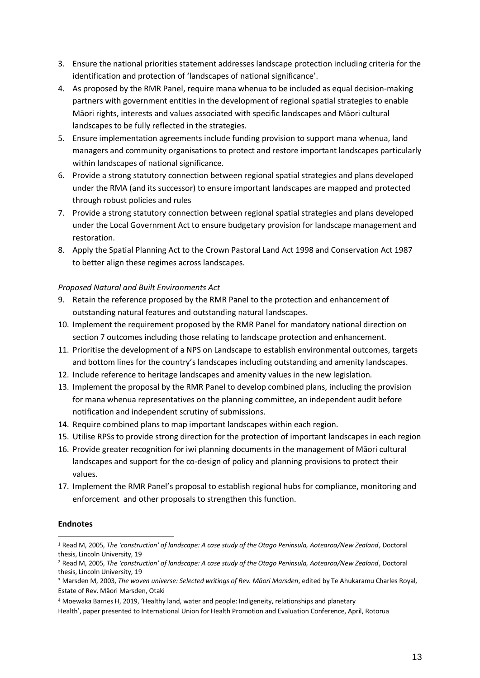- 3. Ensure the national priorities statement addresses landscape protection including criteria for the identification and protection of 'landscapes of national significance'.
- 4. As proposed by the RMR Panel, require mana whenua to be included as equal decision-making partners with government entities in the development of regional spatial strategies to enable Māori rights, interests and values associated with specific landscapes and Māori cultural landscapes to be fully reflected in the strategies.
- 5. Ensure implementation agreements include funding provision to support mana whenua, land managers and community organisations to protect and restore important landscapes particularly within landscapes of national significance.
- 6. Provide a strong statutory connection between regional spatial strategies and plans developed under the RMA (and its successor) to ensure important landscapes are mapped and protected through robust policies and rules
- 7. Provide a strong statutory connection between regional spatial strategies and plans developed under the Local Government Act to ensure budgetary provision for landscape management and restoration.
- 8. Apply the Spatial Planning Act to the Crown Pastoral Land Act 1998 and Conservation Act 1987 to better align these regimes across landscapes.

### *Proposed Natural and Built Environments Act*

- 9. Retain the reference proposed by the RMR Panel to the protection and enhancement of outstanding natural features and outstanding natural landscapes.
- 10. Implement the requirement proposed by the RMR Panel for mandatory national direction on section 7 outcomes including those relating to landscape protection and enhancement.
- 11. Prioritise the development of a NPS on Landscape to establish environmental outcomes, targets and bottom lines for the country's landscapes including outstanding and amenity landscapes.
- 12. Include reference to heritage landscapes and amenity values in the new legislation.
- 13. Implement the proposal by the RMR Panel to develop combined plans, including the provision for mana whenua representatives on the planning committee, an independent audit before notification and independent scrutiny of submissions.
- 14. Require combined plans to map important landscapes within each region.
- 15. Utilise RPSs to provide strong direction for the protection of important landscapes in each region
- 16. Provide greater recognition for iwi planning documents in the management of Māori cultural landscapes and support for the co-design of policy and planning provisions to protect their values.
- 17. Implement the RMR Panel's proposal to establish regional hubs for compliance, monitoring and enforcement and other proposals to strengthen this function.

### **Endnotes**

<sup>1</sup> Read M, 2005, *The 'construction' of landscape: A case study of the Otago Peninsula, Aotearoa/New Zealand*, Doctoral thesis, Lincoln University, 19

<sup>2</sup> Read M, 2005, *The 'construction' of landscape: A case study of the Otago Peninsula, Aotearoa/New Zealand*, Doctoral thesis, Lincoln University, 19

<sup>3</sup> Marsden M, 2003, *The woven universe: Selected writings of Rev. Māori Marsden*, edited by Te Ahukaramu Charles Royal, Estate of Rev. Māori Marsden, Otaki

<sup>4</sup> Moewaka Barnes H, 2019, 'Healthy land, water and people: Indigeneity, relationships and planetary

Health', paper presented to International Union for Health Promotion and Evaluation Conference, April, Rotorua